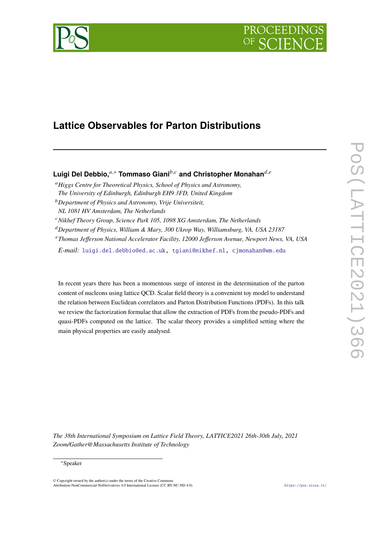

# **Lattice Observables for Parton Distributions**

## Luigi Del Debbio,<sup>*a*,∗</sup> Tommaso Giani<sup>b,*c*</sup> and Christopher Monahan<sup>*d,e*</sup>

- *Higgs Centre for Theoretical Physics, School of Physics and Astronomy, The University of Edinburgh, Edinburgh EH9 3FD, United Kingdom*
- *Department of Physics and Astronomy, Vrije Universiteit, NL 1081 HV Amsterdam, The Netherlands*
- <sup>c</sup> Nikhef Theory Group, Science Park 105, 1098 XG Amsterdam, The Netherlands
- *Department of Physics, William & Mary, 300 Ukrop Way, Williamsburg, VA, USA 23187*
- *Thomas Jefferson National Accelerator Facility, 12000 Jefferson Avenue, Newport News, VA, USA*

*E-mail:* [luigi.del.debbio@ed.ac.uk,](mailto:luigi.del.debbio@ed.ac.uk) [tgiani@nikhef.nl,](mailto:tgiani@nikhef.nl) [cjmonahan@wm.edu](mailto:cjmonahan@wm.edu)

In recent years there has been a momentous surge of interest in the determination of the parton content of nucleons using lattice QCD. Scalar field theory is a convenient toy model to understand the relation between Euclidean correlators and Parton Distribution Functions (PDFs). In this talk we review the factorization formulae that allow the extraction of PDFs from the pseudo-PDFs and quasi-PDFs computed on the lattice. The scalar theory provides a simplified setting where the main physical properties are easily analysed.

*The 38th International Symposium on Lattice Field Theory, LATTICE2021 26th-30th July, 2021 Zoom/Gather@Massachusetts Institute of Technology*

#### <sup>∗</sup>Speaker

 $\odot$  Copyright owned by the author(s) under the terms of the Creative Common Attribution-NonCommercial-NoDerivatives 4.0 International License (CC BY-NC-ND 4.0). <https://pos.sissa.it/>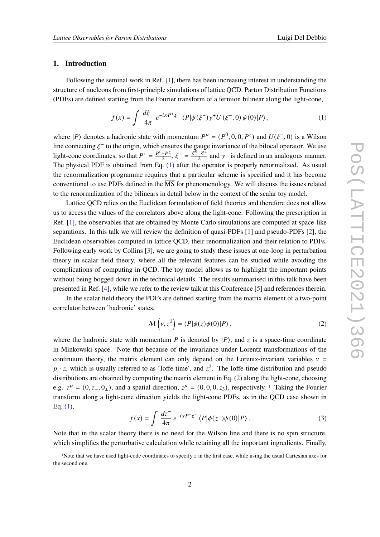#### **1. Introduction**

Following the seminal work in Ref. [\[1\]](#page-5-0), there has been increasing interest in understanding the structure of nucleons from first-principle simulations of lattice QCD. Parton Distribution Functions (PDFs) are defined starting from the Fourier transform of a fermion bilinear along the light-cone,

<span id="page-1-0"></span>
$$
f(x) = \int \frac{d\xi^-}{4\pi} e^{-ixP^+\xi^-} \langle P|\overline{\psi}(\xi^-)\gamma^+U(\xi^-,0)\psi(0)|P\rangle, \qquad (1)
$$

where  $|P\rangle$  denotes a hadronic state with momentum  $P^{\mu} = (P^0, 0, 0, P^z)$  and  $U(\xi^-, 0)$  is a Wilson line connecting  $\xi^-$  to the origin, which ensures the gauge invariance of the bilocal operator. We use light-cone coordinates, so that  $P^+ = \frac{P^0 + P^z}{2}$  $\frac{+P^z}{2}, \xi^- = \frac{\xi^0 - \xi^z}{2}$  $\frac{-\xi^2}{2}$  and  $\gamma^+$  is defined in an analogous manner. The physical PDF is obtained from Eq. [\(1\)](#page-1-0) after the operator is properly renormalized. As usual the renormalization programme requires that a particular scheme is specified and it has become conventional to use PDFs defined in the  $\overline{\text{MS}}$  for phenomenology. We will discuss the issues related to the renormalization of the bilinears in detail below in the context of the scalar toy model.

Lattice QCD relies on the Euclidean formulation of field theories and therefore does not allow us to access the values of the correlators above along the light-cone. Following the prescription in Ref. [\[1\]](#page-5-0), the observables that are obtained by Monte Carlo simulations are computed at space-like separations. In this talk we will review the definition of quasi-PDFs [\[1\]](#page-5-0) and pseudo-PDFs [\[2\]](#page-5-1), the Euclidean observables computed in lattice QCD, their renormalization and their relation to PDFs. Following early work by Collins [\[3\]](#page-5-2), we are going to study these issues at one-loop in perturbation theory in scalar field theory, where all the relevant features can be studied while avoiding the complications of computing in QCD. The toy model allows us to highlight the important points without being bogged down in the technical details. The results summarised in this talk have been presented in Ref. [\[4\]](#page-5-3), while we refer to the review talk at this Conference [\[5\]](#page-5-4) and references therein.

In the scalar field theory the PDFs are defined starting from the matrix element of a two-point correlator between 'hadronic' states,

<span id="page-1-1"></span>
$$
\mathcal{M}\left(\nu, z^2\right) = \langle P|\phi(z)\phi(0)|P\rangle\,,\tag{2}
$$

where the hadronic state with momentum P is denoted by  $|P\rangle$ , and z is a space-time coordinate in Minkowski space. Note that because of the invariance under Lorentz transformations of the continuum theory, the matrix element can only depend on the Lorentz-invariant variables  $v =$  $p \cdot z$ , which is usually referred to as 'Ioffe time', and  $z^2$ . The Ioffe-time distribution and pseudo distributions are obtained by computing the matrix element in Eq. [\(2\)](#page-1-1) along the light-cone, choosing e.g.  $z^{\mu} = (0, z_-, 0_+)$ , and a spatial direction,  $z^{\mu} = (0, 0, 0, z_3)$ , respectively. <sup>[1](#page-1-2)</sup> Taking the Fourier transform along a light-cone direction yields the light-cone PDFs, as in the QCD case shown in Eq. [\(1\)](#page-1-0),

$$
f(x) = \int \frac{dz^-}{4\pi} e^{-ixP^+z^-} \langle P|\phi(z^-)\psi(0)|P\rangle.
$$
 (3)

Note that in the scalar theory there is no need for the Wilson line and there is no spin structure, which simplifies the perturbative calculation while retaining all the important ingredients. Finally,

<span id="page-1-2"></span><sup>&</sup>lt;sup>1</sup>Note that we have used light-code coordinates to specify  $z$  in the first case, while using the usual Cartesian axes for the second one.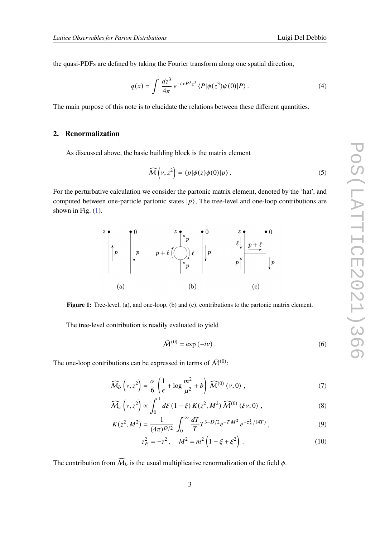the quasi-PDFs are defined by taking the Fourier transform along one spatial direction,

$$
q(x) = \int \frac{dz^3}{4\pi} e^{-ixP^3z^3} \langle P|\phi(z^3)\psi(0)|P\rangle.
$$
 (4)

The main purpose of this note is to elucidate the relations between these different quantities.

#### **2. Renormalization**

As discussed above, the basic building block is the matrix element

$$
\widehat{\mathcal{M}}\left(\nu, z^2\right) = \langle p|\phi(z)\phi(0)|p\rangle. \tag{5}
$$

<span id="page-2-0"></span>For the perturbative calculation we consider the partonic matrix element, denoted by the 'hat', and computed between one-particle partonic states  $|p\rangle$ , The tree-level and one-loop contributions are shown in Fig.  $(1)$ .



Figure 1: Tree-level, (a), and one-loop, (b) and (c), contributions to the partonic matrix element.

The tree-level contribution is readily evaluated to yield

<span id="page-2-2"></span><span id="page-2-1"></span>
$$
\hat{\mathcal{M}}^{(0)} = \exp(-i\nu) \tag{6}
$$

The one-loop contributions can be expressed in terms of  $\hat{\mathcal{M}}^{(0)}$ :

$$
\widehat{\mathcal{M}}_b \left( \nu, z^2 \right) = \frac{\alpha}{6} \left( \frac{1}{\epsilon} + \log \frac{m^2}{\mu^2} + b \right) \widehat{\mathcal{M}}^{(0)} \left( \nu, 0 \right) , \tag{7}
$$

$$
\widehat{\mathcal{M}}_c\left(\nu,z^2\right) \propto \int_0^1 d\xi \left(1-\xi\right) K(z^2, M^2) \widehat{\mathcal{M}}^{(0)}\left(\xi\nu,0\right) ,\tag{8}
$$

$$
K(z^2, M^2) = \frac{1}{(4\pi)^{D/2}} \int_0^\infty \frac{dT}{T} T^{3-D/2} e^{-T M^2} e^{-z_E^2/(4T)}, \qquad (9)
$$

$$
z_E^2 = -z^2, \quad M^2 = m^2 \left( 1 - \xi + \xi^2 \right). \tag{10}
$$

The contribution from  $\widehat{\mathcal{M}}_b$  is the usual multiplicative renormalization of the field  $\phi$ .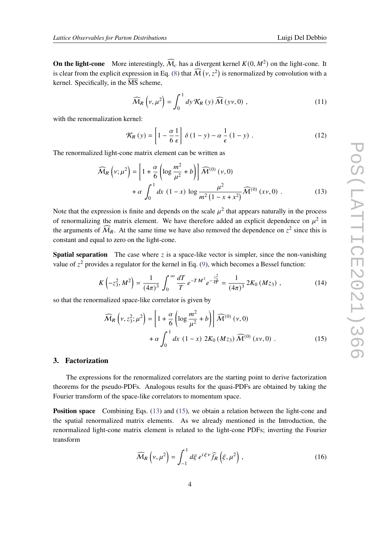**On the light-cone** More interestingly,  $\widehat{M}_c$  has a divergent kernel  $K(0, M^2)$  on the light-cone. It is clear from the explicit expression in Eq. [\(8\)](#page-2-1) that  $\widehat{M}(v, z^2)$  is renormalized by convolution with a kernel. Specifically, in the  $\overline{MS}$  scheme,

$$
\widehat{\mathcal{M}}_{R}\left(\nu,\mu^{2}\right) = \int_{0}^{1} dy \, \mathcal{K}_{R}\left(y\right) \widehat{\mathcal{M}}\left(y\nu,0\right) ,\tag{11}
$$

with the renormalization kernel:

<span id="page-3-0"></span>
$$
\mathcal{K}_{R}(y) = \left[1 - \frac{\alpha}{6} \frac{1}{\epsilon}\right] \delta \left(1 - y\right) - \alpha \frac{1}{\epsilon} \left(1 - y\right) \,. \tag{12}
$$

The renormalized light-cone matrix element can be written as

$$
\widehat{\mathcal{M}}_{R}\left(v;\mu^{2}\right) = \left[1 + \frac{\alpha}{6}\left(\log\frac{m^{2}}{\mu^{2}} + b\right)\right]\widehat{\mathcal{M}}^{(0)}\left(v,0\right) + \alpha \int_{0}^{1} dx \left(1 - x\right) \log\frac{\mu^{2}}{m^{2}\left(1 - x + x^{2}\right)}\widehat{\mathcal{M}}^{(0)}\left(xv,0\right).
$$
\n(13)

Note that the expression is finite and depends on the scale  $\mu^2$  that appears naturally in the process of renormalizing the matrix element. We have therefore added an explicit dependence on  $\mu^2$  in the arguments of  $\widehat{M}_R$ . At the same time we have also removed the dependence on  $z^2$  since this is constant and equal to zero on the light-cone.

**Spatial separation** The case where  $\zeta$  is a space-like vector is simpler, since the non-vanishing value of  $z^2$  provides a regulator for the kernel in Eq. [\(9\)](#page-2-2), which becomes a Bessel function:

$$
K\left(-z_3^2, M^2\right) = \frac{1}{(4\pi)^3} \int_0^\infty \frac{dT}{T} e^{-TM^2} e^{-\frac{z_3^2}{4T}} = \frac{1}{(4\pi)^3} 2K_0\left(Mz_3\right) ,\qquad (14)
$$

so that the renormalized space-like correlator is given by

<span id="page-3-1"></span>
$$
\widehat{M}_R \left( \nu, z_3^2; \mu^2 \right) = \left[ 1 + \frac{\alpha}{6} \left( \log \frac{m^2}{\mu^2} + b \right) \right] \widehat{M}^{(0)} (\nu, 0)
$$
  
+  $\alpha \int_0^1 dx (1 - x) 2K_0 (Mz_3) \widehat{M}^{(0)} (x\nu, 0)$ . (15)

#### **3. Factorization**

The expressions for the renormalized correlators are the starting point to derive factorization theorems for the pseudo-PDFs. Analogous results for the quasi-PDFs are obtained by taking the Fourier transform of the space-like correlators to momentum space.

**Position space** Combining Eqs. [\(13\)](#page-3-0) and [\(15\)](#page-3-1), we obtain a relation between the light-cone and the spatial renormalized matrix elements. As we already mentioned in the Introduction, the renormalized light-cone matrix element is related to the light-cone PDFs; inverting the Fourier transform

$$
\widehat{\mathcal{M}}_{R}\left(\nu,\mu^{2}\right) = \int_{-1}^{1} d\xi \, e^{i\xi\nu} \widehat{f}_{R}\left(\xi,\mu^{2}\right),\tag{16}
$$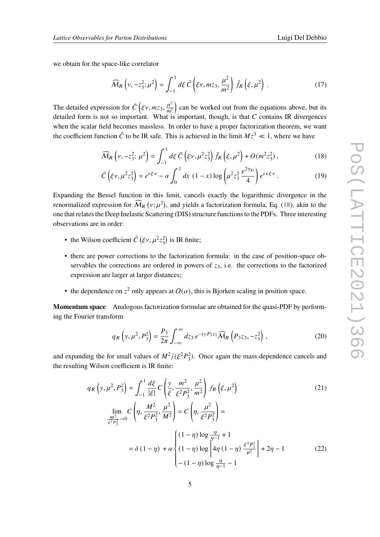we obtain for the space-like correlator

$$
\widehat{\mathcal{M}}_{R}\left(\nu,-z_{3}^{2};\mu^{2}\right)=\int_{-1}^{1}d\xi\,\tilde{C}\left(\xi\nu,mz_{3},\frac{\mu^{2}}{m^{2}}\right)\hat{f}_{R}\left(\xi,\mu^{2}\right). \tag{17}
$$

The detailed expression for  $\tilde{C}$  ( $\xi v$ ,  $mz_3$ ,  $\frac{\mu^2}{m^2}$  $\left(\frac{\mu^2}{m^2}\right)$  can be worked out from the equations above, but its detailed form is not so important. What is important, though, is that  $C$  contains IR divergences when the scalar field becomes massless. In order to have a proper factorization theorem, we want the coefficient function  $\tilde{C}$  to be IR safe. This is achieved in the limit  $Mz^3 \ll 1$ , where we have

<span id="page-4-0"></span>
$$
\widehat{\mathcal{M}}_{R}\left(\nu, -z_{3}^{2}; \,\mu^{2}\right) = \int_{-1}^{1} d\xi \,\tilde{C}\left(\xi\nu, \mu^{2}z_{3}^{2}\right) \hat{f}_{R}\left(\xi, \mu^{2}\right) + O(m^{2}z_{3}^{2})\,,\tag{18}
$$

$$
\tilde{C}\left(\xi\nu,\mu^2z_3^2\right) = e^{i\xi\nu} - \alpha \int_0^1 dx \,\left(1-x\right) \log\left(\mu^2z_3^2 \frac{e^{2\gamma_E}}{4}\right) e^{ix\xi\nu} \,. \tag{19}
$$

Expanding the Bessel function in this limit, cancels exactly the logarithmic divergence in the renormalized expression for  $\widehat{M}_R(v;\mu^2)$ , and yields a factorization formula, Eq. [\(18\)](#page-4-0), akin to the one that relates the Deep Inelastic Scattering (DIS) structure functions to the PDFs. Three interesting observations are in order:

- the Wilson coefficient  $\tilde{C}$  ( $\xi v, \mu^2 z_3^2$ ) is IR finite;
- there are power corrections to the factorization formula: in the case of position-space observables the corrections are ordered in powers of  $z<sub>3</sub>$ , i.e. the corrections to the factorized expression are larger at larger distances;
- the dependence on  $z^2$  only appears at  $O(\alpha)$ , this is Bjorken scaling in position space.

**Momentum space** Analogous factorization formulae are obtained for the quasi-PDF by performing the Fourier transform

<span id="page-4-2"></span><span id="page-4-1"></span>
$$
q_R\left(y,\mu^2,P_3^2\right) = \frac{P_3}{2\pi} \int_{-\infty}^{\infty} dz_3 \, e^{-iyP_3z_3} \widehat{M}_R\left(P_3z_3,-z_3^2\right) \,,\tag{20}
$$

and expanding the for small values of  $M^2/(\xi^2 P_3^2)$ . Once again the mass dependence cancels and the resulting Wilson coefficient is IR finite:

$$
q_R\left(y,\mu^2,P_3^2\right) = \int_{-1}^1 \frac{d\xi}{|\xi|} C\left(\frac{y}{\xi},\frac{m^2}{\xi^2 P_3^2},\frac{\mu^2}{m^2}\right) f_R\left(\xi,\mu^2\right)
$$
\n
$$
\lim_{\substack{M^2\\ \xi^2 P_3^2 \to 0}} C\left(\eta,\frac{M^2}{\xi^2 P_3^2},\frac{\mu^2}{M^2}\right) = C\left(\eta,\frac{\mu^2}{\xi^2 P_3^2}\right) =
$$
\n
$$
= \delta\left(1-\eta\right) + \alpha \begin{cases} \left(1-\eta\right)\log\frac{\eta}{\eta-1} + 1\\ \left(1-\eta\right)\log\left[4\eta\left(1-\eta\right)\frac{\xi^2 P_3^2}{\mu^2}\right] + 2\eta - 1\\ -\left(1-\eta\right)\log\frac{\eta}{\eta-1} - 1 \end{cases}
$$
\n(22)